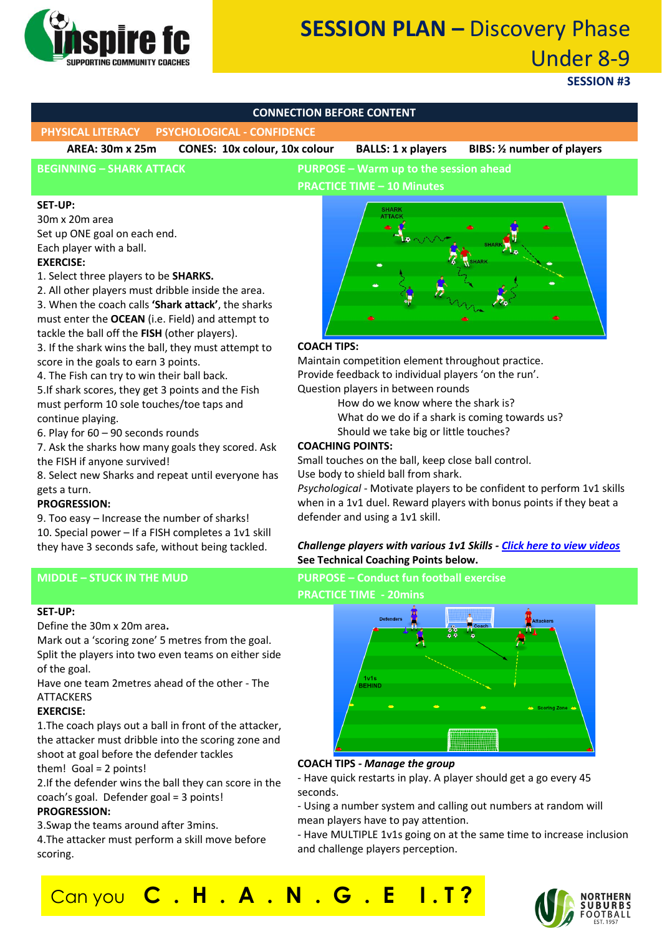

# **SESSION PLAN –** Discovery Phase Under 8-9

**SESSION #3**

### **CONNECTION BEFORE CONTENT**

**PHYSICAL LITERACY PSYCHOLOGICAL - CONFIDENCE**

**AREA: 30m x 25m CONES: 10x colour, 10x colour BALLS: 1 x players BIBS: ½ number of players**

### **BEGINNING – SHARK ATTACK PURPOSE – Warm up to the session ahead**

**PRACTICE TIME – 10 Minutes**

#### **SET-UP:**

30m x 20m area Set up ONE goal on each end. Each player with a ball. **EXERCISE:**

1. Select three players to be **SHARKS.** 

2. All other players must dribble inside the area.

3. When the coach calls **'Shark attack'**, the sharks must enter the **OCEAN** (i.e. Field) and attempt to tackle the ball off the **FISH** (other players).

3. If the shark wins the ball, they must attempt to score in the goals to earn 3 points.

4. The Fish can try to win their ball back. 5.If shark scores, they get 3 points and the Fish must perform 10 sole touches/toe taps and continue playing.

6. Play for 60 – 90 seconds rounds

7. Ask the sharks how many goals they scored. Ask the FISH if anyone survived!

8. Select new Sharks and repeat until everyone has gets a turn.

#### **PROGRESSION:**

9. Too easy – Increase the number of sharks! 10. Special power – If a FISH completes a 1v1 skill they have 3 seconds safe, without being tackled.

#### **SET-UP:**

Define the 30m x 20m area**.**

Mark out a 'scoring zone' 5 metres from the goal. Split the players into two even teams on either side of the goal.

Have one team 2metres ahead of the other - The ATTACKERS

#### **EXERCISE:**

1.The coach plays out a ball in front of the attacker, the attacker must dribble into the scoring zone and shoot at goal before the defender tackles them! Goal = 2 points!

2.If the defender wins the ball they can score in the coach's goal. Defender goal = 3 points! **PROGRESSION:**

3.Swap the teams around after 3mins.

4.The attacker must perform a skill move before scoring.



#### **COACH TIPS:**

Maintain competition element throughout practice. Provide feedback to individual players 'on the run'. Question players in between rounds

How do we know where the shark is?

- What do we do if a shark is coming towards us?
- Should we take big or little touches?

#### **COACHING POINTS:**

Small touches on the ball, keep close ball control. Use body to shield ball from shark.

*Psychological -* Motivate players to be confident to perform 1v1 skills when in a 1v1 duel. Reward players with bonus points if they beat a defender and using a 1v1 skill.

#### *Challenge players with various 1v1 Skills - [Click here to view videos](https://www.youtube.com/watch?v=t61zfzvS-bw&list=PLBDcjkXHpX9gIxDuT-o8415TM9XKoOtpS)* **See Technical Coaching Points below.**

**MIDDLE – STUCK IN THE MUD PURPOSE – Conduct fun football exercise PRACTICE TIME - 20mins**



#### **COACH TIPS -** *Manage the group*

- Have quick restarts in play. A player should get a go every 45 seconds.

- Using a number system and calling out numbers at random will mean players have to pay attention.

- Have MULTIPLE 1v1s going on at the same time to increase inclusion and challenge players perception.